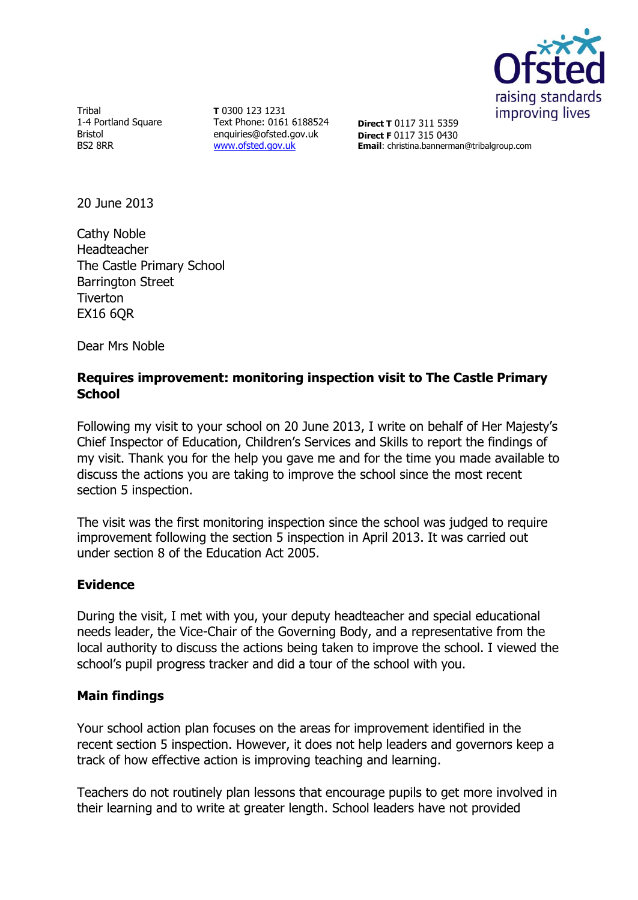

Tribal 1-4 Portland Square Bristol BS2 8RR

**T** 0300 123 1231 Text Phone: 0161 6188524 enquiries@ofsted.gov.uk [www.ofsted.gov.uk](http://www.ofsted.gov.uk/)

**Direct T** 0117 311 5359 **Direct F** 0117 315 0430 **Email**: christina.bannerman@tribalgroup.com

20 June 2013

Cathy Noble Headteacher The Castle Primary School Barrington Street **Tiverton EX16 6OR** 

Dear Mrs Noble

## **Requires improvement: monitoring inspection visit to The Castle Primary School**

Following my visit to your school on 20 June 2013, I write on behalf of Her Majesty's Chief Inspector of Education, Children's Services and Skills to report the findings of my visit. Thank you for the help you gave me and for the time you made available to discuss the actions you are taking to improve the school since the most recent section 5 inspection.

The visit was the first monitoring inspection since the school was judged to require improvement following the section 5 inspection in April 2013. It was carried out under section 8 of the Education Act 2005.

## **Evidence**

During the visit, I met with you, your deputy headteacher and special educational needs leader, the Vice-Chair of the Governing Body, and a representative from the local authority to discuss the actions being taken to improve the school. I viewed the school's pupil progress tracker and did a tour of the school with you.

## **Main findings**

Your school action plan focuses on the areas for improvement identified in the recent section 5 inspection. However, it does not help leaders and governors keep a track of how effective action is improving teaching and learning.

Teachers do not routinely plan lessons that encourage pupils to get more involved in their learning and to write at greater length. School leaders have not provided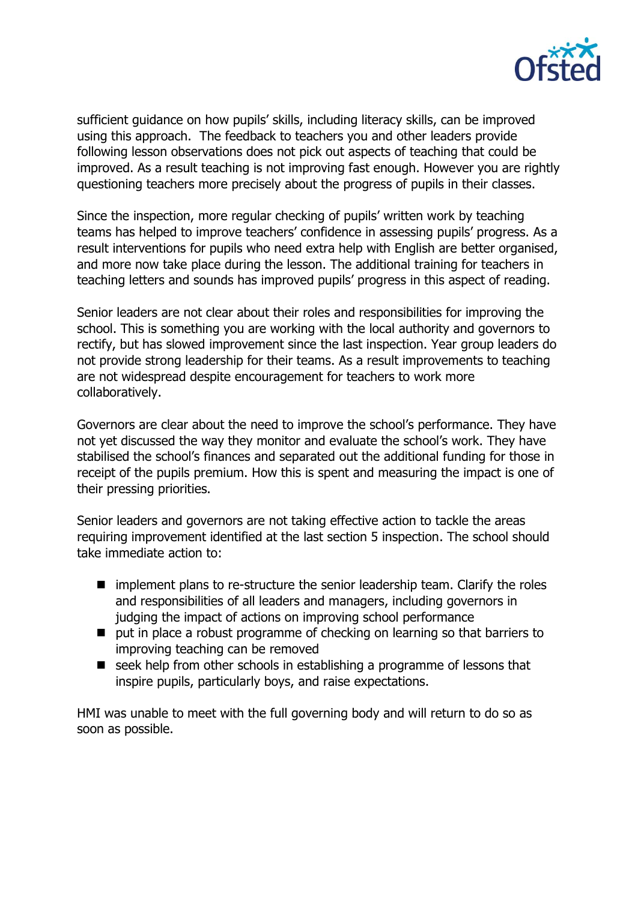

sufficient guidance on how pupils' skills, including literacy skills, can be improved using this approach. The feedback to teachers you and other leaders provide following lesson observations does not pick out aspects of teaching that could be improved. As a result teaching is not improving fast enough. However you are rightly questioning teachers more precisely about the progress of pupils in their classes.

Since the inspection, more regular checking of pupils' written work by teaching teams has helped to improve teachers' confidence in assessing pupils' progress. As a result interventions for pupils who need extra help with English are better organised, and more now take place during the lesson. The additional training for teachers in teaching letters and sounds has improved pupils' progress in this aspect of reading.

Senior leaders are not clear about their roles and responsibilities for improving the school. This is something you are working with the local authority and governors to rectify, but has slowed improvement since the last inspection. Year group leaders do not provide strong leadership for their teams. As a result improvements to teaching are not widespread despite encouragement for teachers to work more collaboratively.

Governors are clear about the need to improve the school's performance. They have not yet discussed the way they monitor and evaluate the school's work. They have stabilised the school's finances and separated out the additional funding for those in receipt of the pupils premium. How this is spent and measuring the impact is one of their pressing priorities.

Senior leaders and governors are not taking effective action to tackle the areas requiring improvement identified at the last section 5 inspection. The school should take immediate action to:

- $\blacksquare$  implement plans to re-structure the senior leadership team. Clarify the roles and responsibilities of all leaders and managers, including governors in judging the impact of actions on improving school performance
- put in place a robust programme of checking on learning so that barriers to improving teaching can be removed
- seek help from other schools in establishing a programme of lessons that inspire pupils, particularly boys, and raise expectations.

HMI was unable to meet with the full governing body and will return to do so as soon as possible.